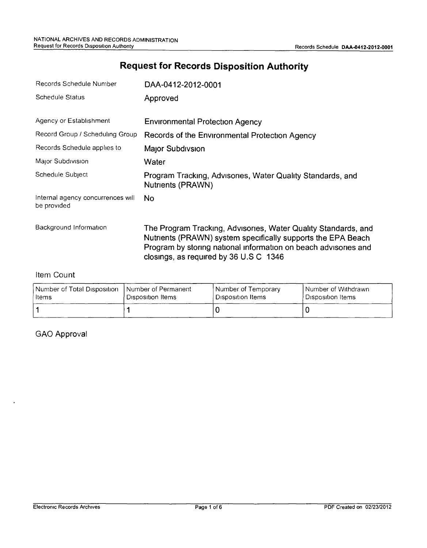# **Request for Records Disposition Authority**

| Records Schedule Number                          | DAA-0412-2012-0001                                                                                                                                                                                                                          |
|--------------------------------------------------|---------------------------------------------------------------------------------------------------------------------------------------------------------------------------------------------------------------------------------------------|
| Schedule Status                                  | Approved                                                                                                                                                                                                                                    |
| Agency or Establishment                          | <b>Environmental Protection Agency</b>                                                                                                                                                                                                      |
| Record Group / Scheduling Group                  | Records of the Environmental Protection Agency                                                                                                                                                                                              |
| Records Schedule applies to                      | Major Subdivsion                                                                                                                                                                                                                            |
| Major Subdivision                                | Water                                                                                                                                                                                                                                       |
| Schedule Subject                                 | Program Tracking, Advisories, Water Quality Standards, and<br>Nutrients (PRAWN)                                                                                                                                                             |
| Internal agency concurrences will<br>be provided | No.                                                                                                                                                                                                                                         |
| Background Information                           | The Program Tracking, Advisories, Water Quality Standards, and<br>Nutrients (PRAWN) system specifically supports the EPA Beach<br>Program by storing national information on beach advisories and<br>closings, as required by 36 U.S C 1346 |

#### Item Count

| Number of Total Disposition | I Number of Permanent | Number of Temporary | Number of Withdrawn |
|-----------------------------|-----------------------|---------------------|---------------------|
| ∣ltems                      | ' Disposition Items   | ' Disposition Items | Disposition Items   |
|                             |                       |                     |                     |

GAO Approval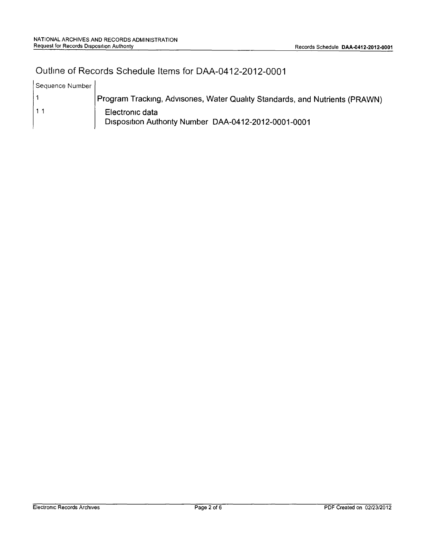# Outline of Records Schedule Items for DAA-0412-2012-0001

| Sequence Number |                                                                              |
|-----------------|------------------------------------------------------------------------------|
|                 | Program Tracking, Advisories, Water Quality Standards, and Nutrients (PRAWN) |
| 11              | Electronic data<br>Disposition Authority Number DAA-0412-2012-0001-0001      |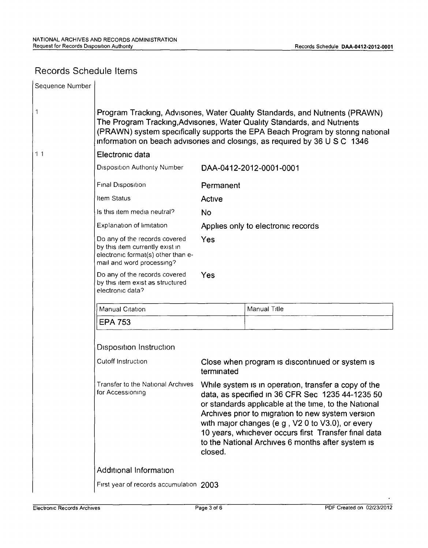## Records Schedule Items

| Sequence Number |                                                                                                                                                                                                                                                                                                                                                                                                                                                            |                                                               |                         |  |
|-----------------|------------------------------------------------------------------------------------------------------------------------------------------------------------------------------------------------------------------------------------------------------------------------------------------------------------------------------------------------------------------------------------------------------------------------------------------------------------|---------------------------------------------------------------|-------------------------|--|
| $\mathbf 1$     | Program Tracking, Advisories, Water Quality Standards, and Nutrients (PRAWN)<br>The Program Tracking, Advisories, Water Quality Standards, and Nutrients<br>(PRAWN) system specifically supports the EPA Beach Program by storing national<br>information on beach advisories and closings, as required by 36 U S C 1346                                                                                                                                   |                                                               |                         |  |
| 11              | Electronic data                                                                                                                                                                                                                                                                                                                                                                                                                                            |                                                               |                         |  |
|                 | <b>Disposition Authority Number</b>                                                                                                                                                                                                                                                                                                                                                                                                                        |                                                               | DAA-0412-2012-0001-0001 |  |
|                 | Final Disposition                                                                                                                                                                                                                                                                                                                                                                                                                                          | Permanent                                                     |                         |  |
|                 | Item Status                                                                                                                                                                                                                                                                                                                                                                                                                                                | Active                                                        |                         |  |
|                 | Is this item media neutral?                                                                                                                                                                                                                                                                                                                                                                                                                                | <b>No</b>                                                     |                         |  |
|                 | Explanation of limitation                                                                                                                                                                                                                                                                                                                                                                                                                                  | Applies only to electronic records                            |                         |  |
|                 | Do any of the records covered<br>by this item currently exist in<br>electronic format(s) other than e-<br>mail and word processing?                                                                                                                                                                                                                                                                                                                        | Yes                                                           |                         |  |
|                 | Do any of the records covered<br>by this item exist as structured<br>electronic data?                                                                                                                                                                                                                                                                                                                                                                      | Yes                                                           |                         |  |
|                 | Manual Citation                                                                                                                                                                                                                                                                                                                                                                                                                                            |                                                               | Manual Title            |  |
|                 | <b>EPA 753</b>                                                                                                                                                                                                                                                                                                                                                                                                                                             |                                                               |                         |  |
|                 | Disposition Instruction<br>Cutoff Instruction                                                                                                                                                                                                                                                                                                                                                                                                              |                                                               |                         |  |
|                 |                                                                                                                                                                                                                                                                                                                                                                                                                                                            | Close when program is discontinued or system is<br>terminated |                         |  |
|                 | Transfer to the National Archives<br>While system is in operation, transfer a copy of the<br>for Accessioning<br>data, as specified in 36 CFR Sec 1235 44-1235 50<br>or standards applicable at the time, to the National<br>Archives prior to migration to new system version<br>with major changes (e g, V2 0 to V3.0), or every<br>10 years, whichever occurs first Transfer final data<br>to the National Archives 6 months after system is<br>closed. |                                                               |                         |  |
|                 | <b>Additional Information</b>                                                                                                                                                                                                                                                                                                                                                                                                                              |                                                               |                         |  |
|                 | First year of records accumulation 2003                                                                                                                                                                                                                                                                                                                                                                                                                    |                                                               |                         |  |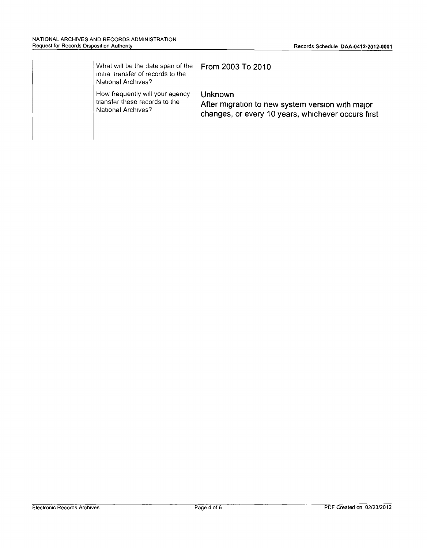| What will be the date span of the<br>initial transfer of records to the<br>National Archives? | From 2003 To 2010                                                                                                 |
|-----------------------------------------------------------------------------------------------|-------------------------------------------------------------------------------------------------------------------|
| How frequently will your agency<br>transfer these records to the<br>National Archives?        | Unknown<br>After migration to new system version with major<br>changes, or every 10 years, whichever occurs first |